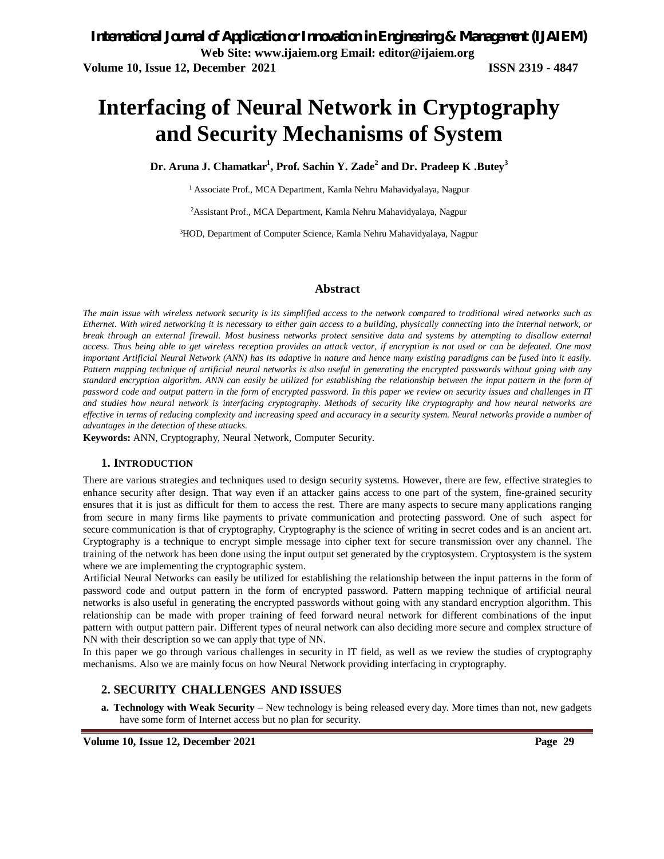# **Interfacing of Neural Network in Cryptography and Security Mechanisms of System**

**Dr. Aruna J. Chamatkar<sup>1</sup> , Prof. Sachin Y. Zade<sup>2</sup> and Dr. Pradeep K .Butey<sup>3</sup>**

<sup>1</sup> Associate Prof., MCA Department, Kamla Nehru Mahavidyalaya, Nagpur

<sup>2</sup>Assistant Prof., MCA Department, Kamla Nehru Mahavidyalaya, Nagpur

3HOD, Department of Computer Science, Kamla Nehru Mahavidyalaya, Nagpur

### **Abstract**

*The main issue with wireless network security is its simplified access to the network compared to traditional wired networks such as Ethernet. With wired networking it is necessary to either gain access to a building, physically connecting into the internal network, or break through an external firewall. Most business networks protect sensitive data and systems by attempting to disallow external access. Thus being able to get wireless reception provides an attack vector, if encryption is not used or can be defeated. One most important Artificial Neural Network (ANN) has its adaptive in nature and hence many existing paradigms can be fused into it easily. Pattern mapping technique of artificial neural networks is also useful in generating the encrypted passwords without going with any standard encryption algorithm. ANN can easily be utilized for establishing the relationship between the input pattern in the form of password code and output pattern in the form of encrypted password. In this paper we review on security issues and challenges in IT and studies how neural network is interfacing cryptography. Methods of security like cryptography and how neural networks are effective in terms of reducing complexity and increasing speed and accuracy in a security system. Neural networks provide a number of advantages in the detection of these attacks.*

**Keywords:** ANN, Cryptography, Neural Network, Computer Security.

#### **1. INTRODUCTION**

There are various strategies and techniques used to design security systems. However, there are few, effective strategies to enhance security after design. That way even if an attacker gains access to one part of the system, fine-grained security ensures that it is just as difficult for them to access the rest. There are many aspects to secure many applications ranging from secure in many firms like payments to private communication and protecting password. One of such aspect for secure communication is that of cryptography. Cryptography is the science of writing in secret codes and is an ancient art. Cryptography is a technique to encrypt simple message into cipher text for secure transmission over any channel. The training of the network has been done using the input output set generated by the cryptosystem. Cryptosystem is the system where we are implementing the cryptographic system.

Artificial Neural Networks can easily be utilized for establishing the relationship between the input patterns in the form of password code and output pattern in the form of encrypted password. Pattern mapping technique of artificial neural networks is also useful in generating the encrypted passwords without going with any standard encryption algorithm. This relationship can be made with proper training of feed forward neural network for different combinations of the input pattern with output pattern pair. Different types of neural network can also deciding more secure and complex structure of NN with their description so we can apply that type of NN.

In this paper we go through various challenges in security in IT field, as well as we review the studies of cryptography mechanisms. Also we are mainly focus on how Neural Network providing interfacing in cryptography.

### **2. SECURITY CHALLENGES AND ISSUES**

**a. Technology with Weak Security** – New technology is being released every day. More times than not, new gadgets have some form of Internet access but no plan for security.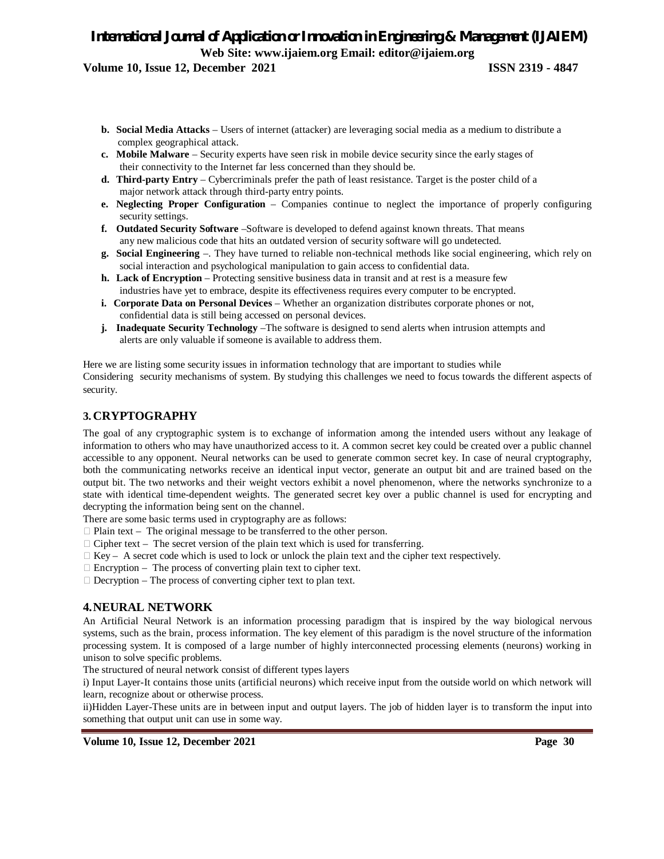# **Volume 10, Issue 12, December 2021 ISSN 2319 - 4847**

- **b. Social Media Attacks**  Users of internet (attacker) are leveraging social media as a medium to distribute a complex geographical attack.
- **c. Mobile Malware**  Security experts have seen risk in mobile device security since the early stages of their connectivity to the Internet far less concerned than they should be.
- **d. Third-party Entry**  Cybercriminals prefer the path of least resistance. Target is the poster child of a major network attack through third-party entry points.
- **e. Neglecting Proper Configuration**  Companies continue to neglect the importance of properly configuring security settings.
- **f. Outdated Security Software** –Software is developed to defend against known threats. That means any new malicious code that hits an outdated version of security software will go undetected.
- **g. Social Engineering** –. They have turned to reliable non-technical methods like social engineering, which rely on social interaction and psychological manipulation to gain access to confidential data.
- **h. Lack of Encryption**  Protecting sensitive business data in transit and at rest is a measure few industries have yet to embrace, despite its effectiveness requires every computer to be encrypted.
- **i. Corporate Data on Personal Devices** Whether an organization distributes corporate phones or not, confidential data is still being accessed on personal devices.
- **j. Inadequate Security Technology** –The software is designed to send alerts when intrusion attempts and alerts are only valuable if someone is available to address them.

Here we are listing some security issues in information technology that are important to studies while Considering security mechanisms of system. By studying this challenges we need to focus towards the different aspects of security.

# **3. CRYPTOGRAPHY**

The goal of any cryptographic system is to exchange of information among the intended users without any leakage of information to others who may have unauthorized access to it. A common secret key could be created over a public channel accessible to any opponent. Neural networks can be used to generate common secret key. In case of neural cryptography, both the communicating networks receive an identical input vector, generate an output bit and are trained based on the output bit. The two networks and their weight vectors exhibit a novel phenomenon, where the networks synchronize to a state with identical time-dependent weights. The generated secret key over a public channel is used for encrypting and decrypting the information being sent on the channel.

There are some basic terms used in cryptography are as follows:

- $\Box$  Plain text The original message to be transferred to the other person.
- $\Box$  Cipher text The secret version of the plain text which is used for transferring.
- $\Box$  Key A secret code which is used to lock or unlock the plain text and the cipher text respectively.
- $\Box$  Encryption The process of converting plain text to cipher text.
- $\Box$  Decryption The process of converting cipher text to plan text.

# **4.NEURAL NETWORK**

An Artificial Neural Network is an information processing paradigm that is inspired by the way biological nervous systems, such as the brain, process information. The key element of this paradigm is the novel structure of the information processing system. It is composed of a large number of highly interconnected processing elements (neurons) working in unison to solve specific problems.

The structured of neural network consist of different types layers

i) Input Layer-It contains those units (artificial neurons) which receive input from the outside world on which network will learn, recognize about or otherwise process.

ii)Hidden Layer-These units are in between input and output layers. The job of hidden layer is to transform the input into something that output unit can use in some way.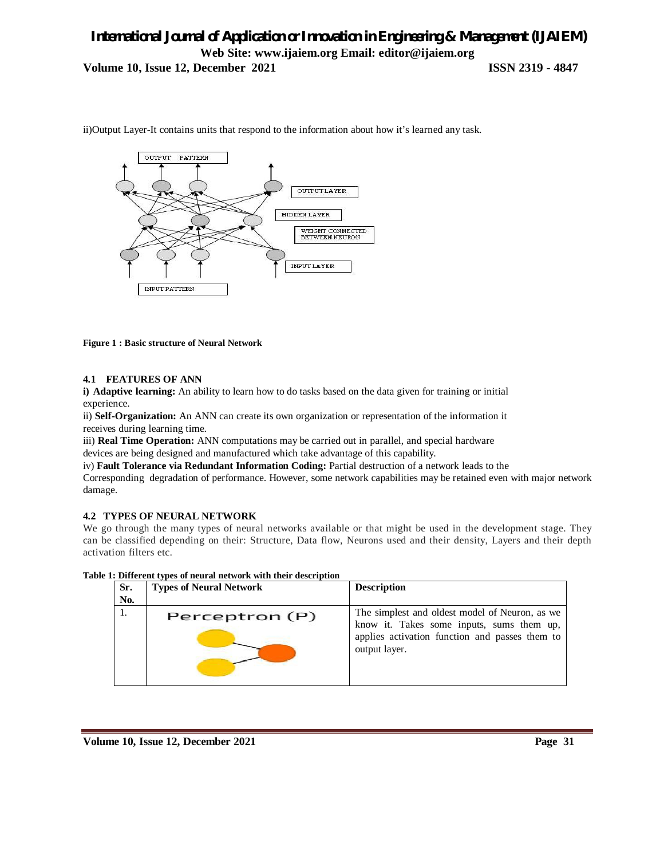# *International Journal of Application or Innovation in Engineering & Management (IJAIEM)* **Web Site: www.ijaiem.org Email: editor@ijaiem.org Volume 10, Issue 12, December 2021 ISSN 2319 - 4847**

 $_{\rm OUTPUT}$ PATTERN  $\label{eq:outp} \begin{minipage}{.4\linewidth} \begin{tabular}{l} \multicolumn{2}{c}{\textbf{OUTPUTLAYER}} \end{tabular} \end{minipage}$ HIDDEN LAYER WEIGHT CONNECTED<br>BETWEEN NEURON INPUT LAYER INPUTPATTERN

ii)Output Layer-It contains units that respond to the information about how it's learned any task.

#### **Figure 1 : Basic structure of Neural Network**

#### **4.1 FEATURES OF ANN**

**i) Adaptive learning:** An ability to learn how to do tasks based on the data given for training or initial experience.

ii) **Self-Organization:** An ANN can create its own organization or representation of the information it receives during learning time.

iii) **Real Time Operation:** ANN computations may be carried out in parallel, and special hardware devices are being designed and manufactured which take advantage of this capability.

iv) **Fault Tolerance via Redundant Information Coding:** Partial destruction of a network leads to the

Corresponding degradation of performance. However, some network capabilities may be retained even with major network damage.

#### **4.2 TYPES OF NEURAL NETWORK**

We go through the many types of neural networks available or that might be used in the development stage. They can be classified depending on their: Structure, Data flow, Neurons used and their density, Layers and their depth activation filters etc.

| Sr.<br>No. | <b>Types of Neural Network</b> | <b>Description</b>                                                                                                                                             |
|------------|--------------------------------|----------------------------------------------------------------------------------------------------------------------------------------------------------------|
|            | Perceptron (P)                 | The simplest and oldest model of Neuron, as we<br>know it. Takes some inputs, sums them up,<br>applies activation function and passes them to<br>output layer. |

#### **Table 1: Different types of neural network with their description**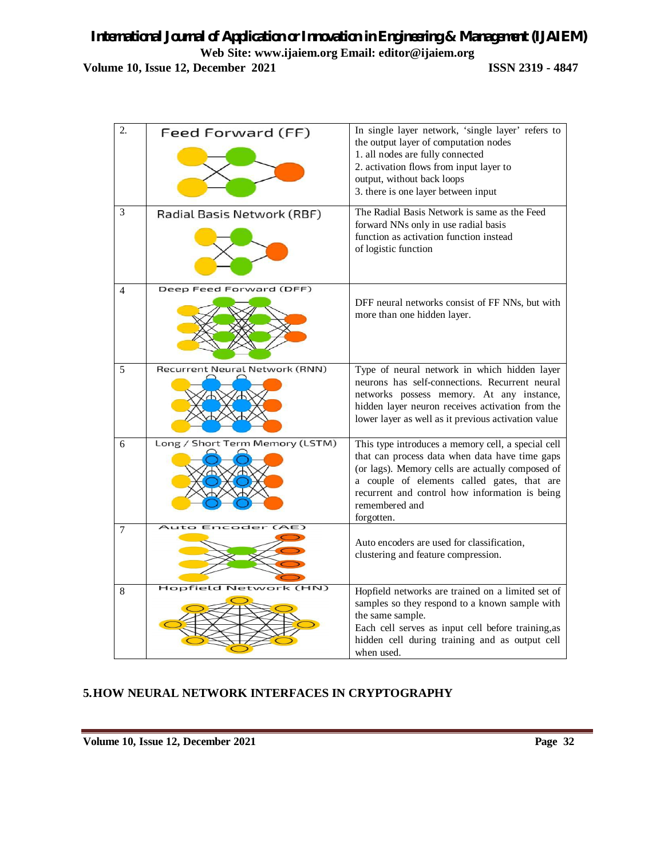**Volume 10, Issue 12, December 2021 ISSN 2319 - 4847** 

| $\overline{2}$ . | Feed Forward (FF)               | In single layer network, 'single layer' refers to                                                                                                                                                                                                                                         |
|------------------|---------------------------------|-------------------------------------------------------------------------------------------------------------------------------------------------------------------------------------------------------------------------------------------------------------------------------------------|
|                  |                                 | the output layer of computation nodes<br>1. all nodes are fully connected<br>2. activation flows from input layer to<br>output, without back loops<br>3. there is one layer between input                                                                                                 |
| 3                | Radial Basis Network (RBF)      | The Radial Basis Network is same as the Feed<br>forward NNs only in use radial basis<br>function as activation function instead<br>of logistic function                                                                                                                                   |
| $\overline{4}$   | Deep Feed Forward (DFF)         | DFF neural networks consist of FF NNs, but with<br>more than one hidden layer.                                                                                                                                                                                                            |
| 5                | Recurrent Neural Network (RNN)  | Type of neural network in which hidden layer<br>neurons has self-connections. Recurrent neural<br>networks possess memory. At any instance,<br>hidden layer neuron receives activation from the<br>lower layer as well as it previous activation value                                    |
| 6                | Long / Short Term Memory (LSTM) | This type introduces a memory cell, a special cell<br>that can process data when data have time gaps<br>(or lags). Memory cells are actually composed of<br>a couple of elements called gates, that are<br>recurrent and control how information is being<br>remembered and<br>forgotten. |
| 7                | Encoder                         | Auto encoders are used for classification,<br>clustering and feature compression.                                                                                                                                                                                                         |
| 8                | (HN)<br>Hopfield<br>etwork      | Hopfield networks are trained on a limited set of<br>samples so they respond to a known sample with                                                                                                                                                                                       |
|                  |                                 | the same sample.<br>Each cell serves as input cell before training, as<br>hidden cell during training and as output cell<br>when used.                                                                                                                                                    |

# **5.HOW NEURAL NETWORK INTERFACES IN CRYPTOGRAPHY**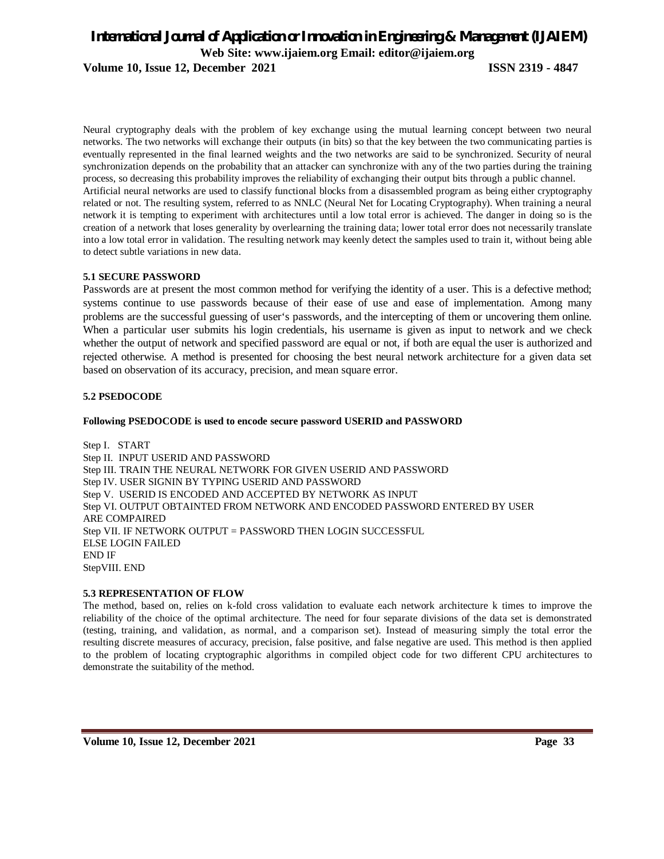### **Volume 10, Issue 12, December 2021 ISSN 2319 - 4847**

Neural cryptography deals with the problem of key exchange using the mutual learning concept between two neural networks. The two networks will exchange their outputs (in bits) so that the key between the two communicating parties is eventually represented in the final learned weights and the two networks are said to be synchronized. Security of neural synchronization depends on the probability that an attacker can synchronize with any of the two parties during the training process, so decreasing this probability improves the reliability of exchanging their output bits through a public channel. Artificial neural networks are used to classify functional blocks from a disassembled program as being either cryptography related or not. The resulting system, referred to as NNLC (Neural Net for Locating Cryptography). When training a neural network it is tempting to experiment with architectures until a low total error is achieved. The danger in doing so is the creation of a network that loses generality by overlearning the training data; lower total error does not necessarily translate into a low total error in validation. The resulting network may keenly detect the samples used to train it, without being able to detect subtle variations in new data.

# **5.1 SECURE PASSWORD**

Passwords are at present the most common method for verifying the identity of a user. This is a defective method; systems continue to use passwords because of their ease of use and ease of implementation. Among many problems are the successful guessing of user's passwords, and the intercepting of them or uncovering them online. When a particular user submits his login credentials, his username is given as input to network and we check whether the output of network and specified password are equal or not, if both are equal the user is authorized and rejected otherwise. A method is presented for choosing the best neural network architecture for a given data set based on observation of its accuracy, precision, and mean square error.

# **5.2 PSEDOCODE**

### **Following PSEDOCODE is used to encode secure password USERID and PASSWORD**

Step I. START Step II. INPUT USERID AND PASSWORD Step III. TRAIN THE NEURAL NETWORK FOR GIVEN USERID AND PASSWORD Step IV. USER SIGNIN BY TYPING USERID AND PASSWORD Step V. USERID IS ENCODED AND ACCEPTED BY NETWORK AS INPUT Step VI. OUTPUT OBTAINTED FROM NETWORK AND ENCODED PASSWORD ENTERED BY USER ARE COMPAIRED Step VII. IF NETWORK OUTPUT = PASSWORD THEN LOGIN SUCCESSFUL ELSE LOGIN FAILED END IF StepVIII. END

### **5.3 REPRESENTATION OF FLOW**

The method, based on, relies on k-fold cross validation to evaluate each network architecture k times to improve the reliability of the choice of the optimal architecture. The need for four separate divisions of the data set is demonstrated (testing, training, and validation, as normal, and a comparison set). Instead of measuring simply the total error the resulting discrete measures of accuracy, precision, false positive, and false negative are used. This method is then applied to the problem of locating cryptographic algorithms in compiled object code for two different CPU architectures to demonstrate the suitability of the method.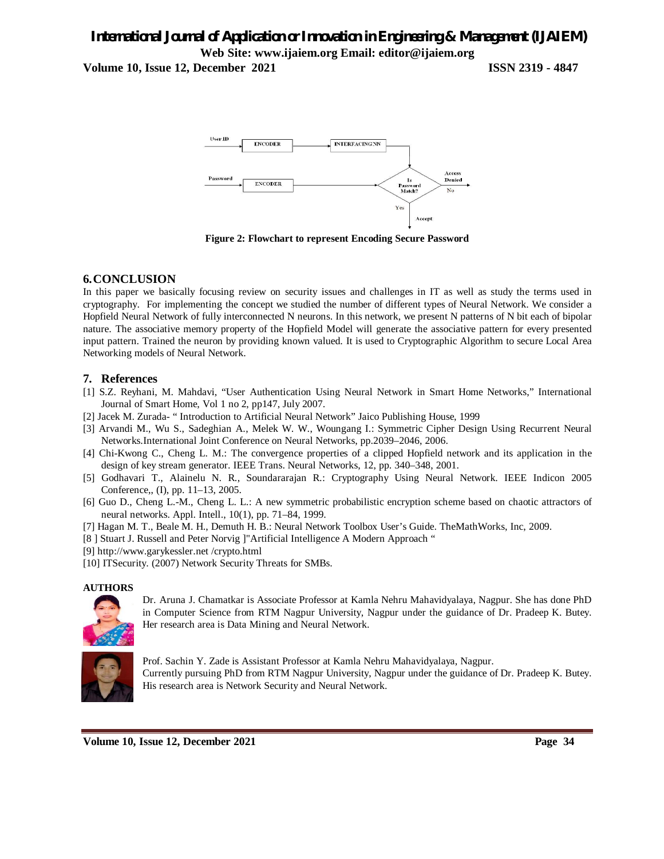**Volume 10, Issue 12, December 2021 ISSN 2319 - 4847** 



**Figure 2: Flowchart to represent Encoding Secure Password**

# **6.CONCLUSION**

In this paper we basically focusing review on security issues and challenges in IT as well as study the terms used in cryptography. For implementing the concept we studied the number of different types of Neural Network. We consider a Hopfield Neural Network of fully interconnected N neurons. In this network, we present N patterns of N bit each of bipolar nature. The associative memory property of the Hopfield Model will generate the associative pattern for every presented input pattern. Trained the neuron by providing known valued. It is used to Cryptographic Algorithm to secure Local Area Networking models of Neural Network.

# **7. References**

- [1] S.Z. Reyhani, M. Mahdavi, "User Authentication Using Neural Network in Smart Home Networks," International Journal of Smart Home, Vol 1 no 2, pp147, July 2007.
- [2] Jacek M. Zurada- " Introduction to Artificial Neural Network" Jaico Publishing House, 1999
- [3] Arvandi M., Wu S., Sadeghian A., Melek W. W., Woungang I.: Symmetric Cipher Design Using Recurrent Neural Networks.International Joint Conference on Neural Networks, pp.2039–2046, 2006.
- [4] Chi-Kwong C., Cheng L. M.: The convergence properties of a clipped Hopfield network and its application in the design of key stream generator. IEEE Trans. Neural Networks, 12, pp. 340–348, 2001.
- [5] Godhavari T., Alainelu N. R., Soundararajan R.: Cryptography Using Neural Network. IEEE Indicon 2005 Conference,, (I), pp. 11–13, 2005.
- [6] Guo D., Cheng L.-M., Cheng L. L.: A new symmetric probabilistic encryption scheme based on chaotic attractors of neural networks. Appl. Intell., 10(1), pp. 71–84, 1999.
- [7] Hagan M. T., Beale M. H., Demuth H. B.: Neural Network Toolbox User's Guide. TheMathWorks, Inc, 2009.
- [8 ] Stuart J. Russell and Peter Norvig ]"Artificial Intelligence A Modern Approach "
- [9] http://www.garykessler.net /crypto.html
- [10] ITSecurity. (2007) Network Security Threats for SMBs.

### **AUTHORS**



Dr. Aruna J. Chamatkar is Associate Professor at Kamla Nehru Mahavidyalaya, Nagpur. She has done PhD in Computer Science from RTM Nagpur University, Nagpur under the guidance of Dr. Pradeep K. Butey. Her research area is Data Mining and Neural Network.



Prof. Sachin Y. Zade is Assistant Professor at Kamla Nehru Mahavidyalaya, Nagpur. Currently pursuing PhD from RTM Nagpur University, Nagpur under the guidance of Dr. Pradeep K. Butey. His research area is Network Security and Neural Network.